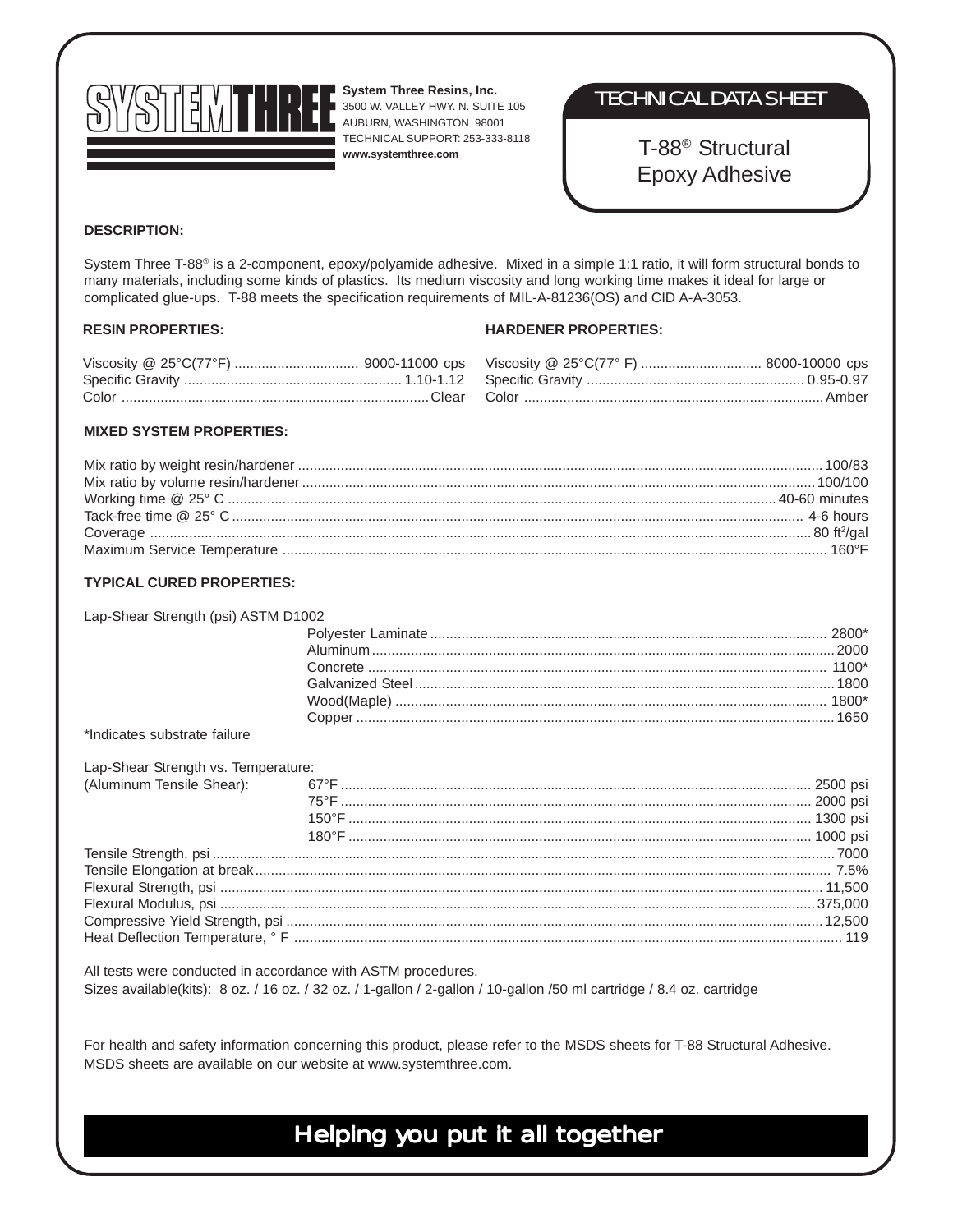

**System Three Resins, Inc.** 3500 W. VALLEY HWY. N. SUITE 105 AUBURN, WASHINGTON 98001 TECHNICAL SUPPORT: 253-333-8118 **www.systemthree.com**

### TECHNICAL DATA SHEET

T-88® Structural Epoxy Adhesive

#### **DESCRIPTION:**

System Three T-88® is a 2-component, epoxy/polyamide adhesive. Mixed in a simple 1:1 ratio, it will form structural bonds to many materials, including some kinds of plastics. Its medium viscosity and long working time makes it ideal for large or complicated glue-ups. T-88 meets the specification requirements of MIL-A-81236(OS) and CID A-A-3053.

#### **RESIN PROPERTIES:**

#### **HARDENER PROPERTIES:**

#### **MIXED SYSTEM PROPERTIES:**

#### **TYPICAL CURED PROPERTIES:**

| Lap-Shear Strength (psi) ASTM D1002 |  |  |
|-------------------------------------|--|--|
|-------------------------------------|--|--|

#### \*Indicates substrate failure

| Lap-Shear Strength vs. Temperature: |
|-------------------------------------|

All tests were conducted in accordance with ASTM procedures. Sizes available(kits): 8 oz. / 16 oz. / 32 oz. / 1-gallon / 2-gallon / 10-gallon /50 ml cartridge / 8.4 oz. cartridge

For health and safety information concerning this product, please refer to the MSDS sheets for T-88 Structural Adhesive. MSDS sheets are available on our website at www.systemthree.com.

## Helping you put it all together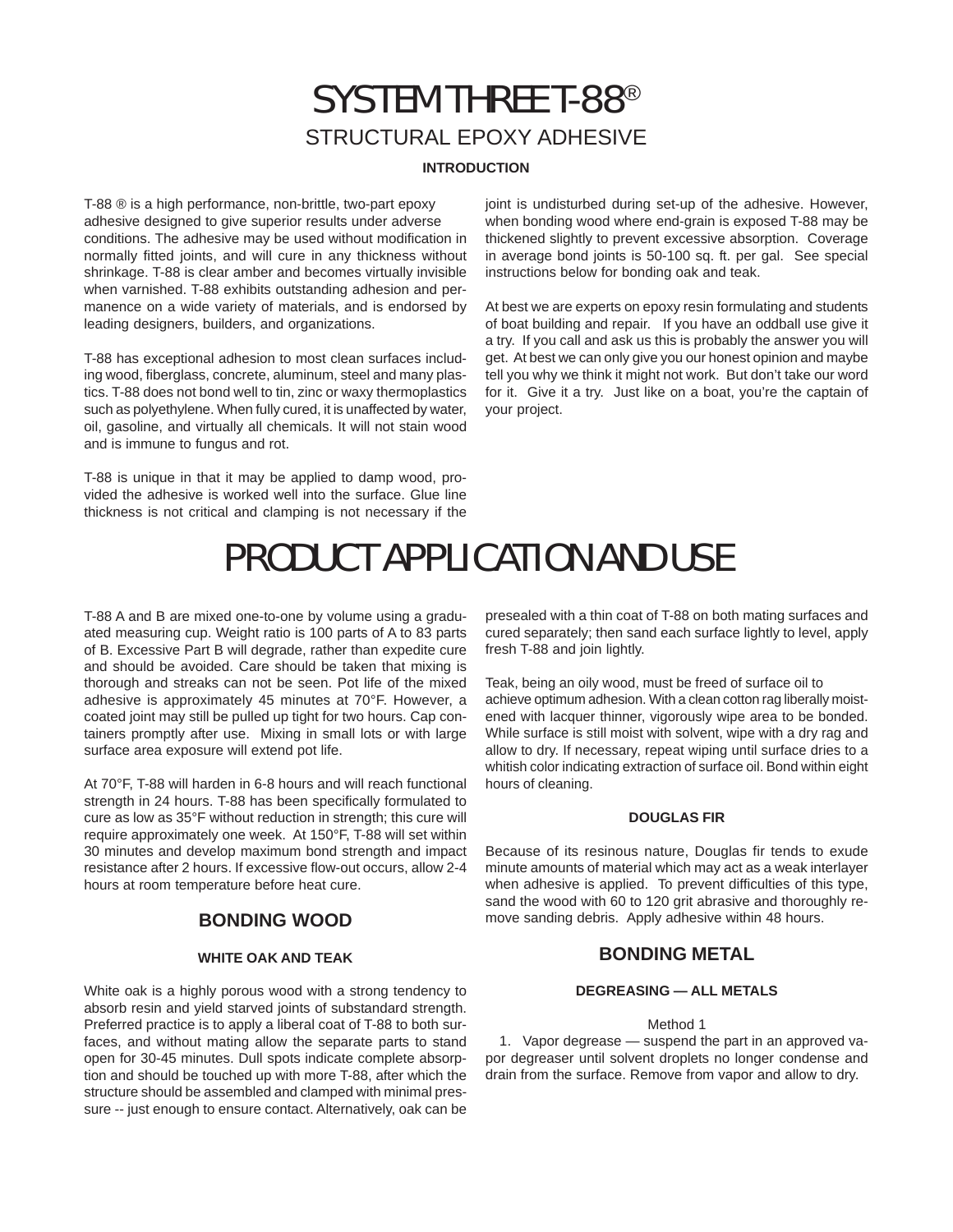## SYSTEM THREE T-88® STRUCTURAL EPOXY ADHESIVE

#### **INTRODUCTION**

T-88 ® is a high performance, non-brittle, two-part epoxy adhesive designed to give superior results under adverse conditions. The adhesive may be used without modification in normally fitted joints, and will cure in any thickness without shrinkage. T-88 is clear amber and becomes virtually invisible when varnished. T-88 exhibits outstanding adhesion and permanence on a wide variety of materials, and is endorsed by leading designers, builders, and organizations.

T-88 has exceptional adhesion to most clean surfaces including wood, fiberglass, concrete, aluminum, steel and many plastics. T-88 does not bond well to tin, zinc or waxy thermoplastics such as polyethylene. When fully cured, it is unaffected by water, oil, gasoline, and virtually all chemicals. It will not stain wood and is immune to fungus and rot.

T-88 is unique in that it may be applied to damp wood, provided the adhesive is worked well into the surface. Glue line thickness is not critical and clamping is not necessary if the joint is undisturbed during set-up of the adhesive. However, when bonding wood where end-grain is exposed T-88 may be thickened slightly to prevent excessive absorption. Coverage in average bond joints is 50-100 sq. ft. per gal. See special instructions below for bonding oak and teak.

At best we are experts on epoxy resin formulating and students of boat building and repair. If you have an oddball use give it a try. If you call and ask us this is probably the answer you will get. At best we can only give you our honest opinion and maybe tell you why we think it might not work. But don't take our word for it. Give it a try. Just like on a boat, you're the captain of your project.

# PRODUCT APPLICATION AND USE

T-88 A and B are mixed one-to-one by volume using a graduated measuring cup. Weight ratio is 100 parts of A to 83 parts of B. Excessive Part B will degrade, rather than expedite cure and should be avoided. Care should be taken that mixing is thorough and streaks can not be seen. Pot life of the mixed adhesive is approximately 45 minutes at 70°F. However, a coated joint may still be pulled up tight for two hours. Cap containers promptly after use. Mixing in small lots or with large surface area exposure will extend pot life.

At 70°F, T-88 will harden in 6-8 hours and will reach functional strength in 24 hours. T-88 has been specifically formulated to cure as low as 35°F without reduction in strength; this cure will require approximately one week. At 150°F, T-88 will set within 30 minutes and develop maximum bond strength and impact resistance after 2 hours. If excessive flow-out occurs, allow 2-4 hours at room temperature before heat cure.

#### **BONDING WOOD**

#### **WHITE OAK AND TEAK**

White oak is a highly porous wood with a strong tendency to absorb resin and yield starved joints of substandard strength. Preferred practice is to apply a liberal coat of T-88 to both surfaces, and without mating allow the separate parts to stand open for 30-45 minutes. Dull spots indicate complete absorption and should be touched up with more T-88, after which the structure should be assembled and clamped with minimal pressure -- just enough to ensure contact. Alternatively, oak can be

presealed with a thin coat of T-88 on both mating surfaces and cured separately; then sand each surface lightly to level, apply fresh T-88 and join lightly.

Teak, being an oily wood, must be freed of surface oil to achieve optimum adhesion. With a clean cotton rag liberally moistened with lacquer thinner, vigorously wipe area to be bonded. While surface is still moist with solvent, wipe with a dry rag and allow to dry. If necessary, repeat wiping until surface dries to a whitish color indicating extraction of surface oil. Bond within eight hours of cleaning.

#### **DOUGLAS FIR**

Because of its resinous nature, Douglas fir tends to exude minute amounts of material which may act as a weak interlayer when adhesive is applied. To prevent difficulties of this type, sand the wood with 60 to 120 grit abrasive and thoroughly remove sanding debris. Apply adhesive within 48 hours.

#### **BONDING METAL**

#### **DEGREASING — ALL METALS**

#### Method 1

1. Vapor degrease — suspend the part in an approved vapor degreaser until solvent droplets no longer condense and drain from the surface. Remove from vapor and allow to dry.